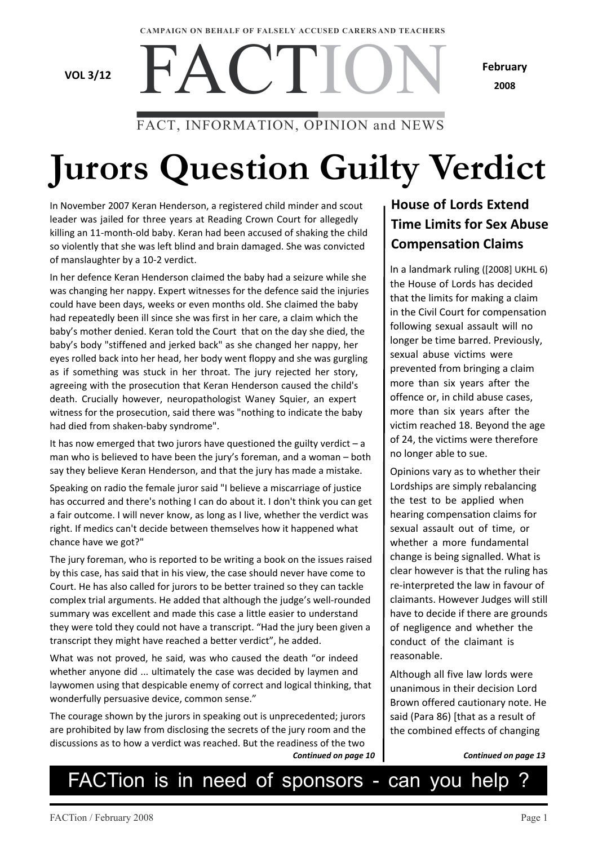#### **CAMPAIGN ON BEHALF OF FALSELY ACCUSED CARERS AND TEACHERS**

FACTIO

**VOL 3/12**

**February 2008**

### FACT, INFORMATION, OPINION and NEWS

# **Jurors Question Guilty Verdict**

In November 2007 Keran Henderson, a registered child minder and scout leader was jailed for three years at Reading Crown Court for allegedly killing an 11-month-old baby. Keran had been accused of shaking the child so violently that she was left blind and brain damaged. She was convicted of manslaughter by a 10-2 verdict.

In her defence Keran Henderson claimed the baby had a seizure while she was changing her nappy. Expert witnesses for the defence said the injuries could have been days, weeks or even months old. She claimed the baby had repeatedly been ill since she was first in her care, a claim which the baby's mother denied. Keran told the Court that on the day she died, the baby's body "stiffened and jerked back" as she changed her nappy, her eyes rolled back into her head, her body went floppy and she was gurgling as if something was stuck in her throat. The jury rejected her story, agreeing with the prosecution that Keran Henderson caused the child's death. Crucially however, neuropathologist Waney Squier, an expert witness for the prosecution, said there was "nothing to indicate the baby had died from shaken-baby syndrome".

It has now emerged that two jurors have questioned the guilty verdict  $-a$ man who is believed to have been the jury's foreman, and a woman – both say they believe Keran Henderson, and that the jury has made a mistake.

Speaking on radio the female juror said "I believe a miscarriage of justice has occurred and there's nothing I can do about it. I don't think you can get a fair outcome. I will never know, as long as I live, whether the verdict was right. If medics can't decide between themselves how it happened what chance have we got?"

The jury foreman, who is reported to be writing a book on the issues raised by this case, has said that in his view, the case should never have come to Court. He has also called for jurors to be better trained so they can tackle complex trial arguments. He added that although the judge's well-rounded summary was excellent and made this case a little easier to understand they were told they could not have a transcript. "Had the jury been given a transcript they might have reached a better verdict", he added.

What was not proved, he said, was who caused the death "or indeed whether anyone did ... ultimately the case was decided by laymen and laywomen using that despicable enemy of correct and logical thinking, that wonderfully persuasive device, common sense."

The courage shown by the jurors in speaking out is unprecedented; jurors are prohibited by law from disclosing the secrets of the jury room and the discussions as to how a verdict was reached. But the readiness of the two *Continued on page 10*

### **House of Lords Extend Time Limits for Sex Abuse Compensation Claims**

In a landmark ruling ([2008] UKHL 6) the House of Lords has decided that the limits for making a claim in the Civil Court for compensation following sexual assault will no longer be time barred. Previously, sexual abuse victims were prevented from bringing a claim more than six years after the offence or, in child abuse cases, more than six years after the victim reached 18. Beyond the age of 24, the victims were therefore no longer able to sue.

Opinions vary as to whether their Lordships are simply rebalancing the test to be applied when hearing compensation claims for sexual assault out of time, or whether a more fundamental change is being signalled. What is clear however is that the ruling has re-interpreted the law in favour of claimants. However Judges will still have to decide if there are grounds of negligence and whether the conduct of the claimant is reasonable.

Although all five law lords were unanimous in their decision Lord Brown offered cautionary note. He said (Para 86) [that as a result of the combined effects of changing

*Continued on page 13*

# FACTion is in need of sponsors - can you help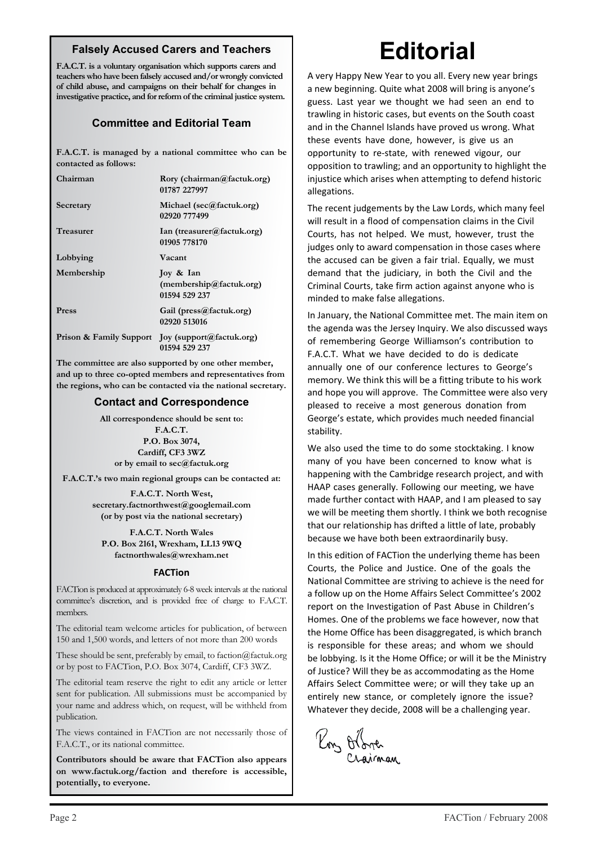#### **Falsely Accused Carers and Teachers**

**F.A.C.T. is a voluntary organisation which supports carers and teachers who have been falsely accused and/or wrongly convicted of child abuse, and campaigns on their behalf for changes in investigative practice, and for reform of the criminal justice system.**

#### **Committee and Editorial Team**

**F.A.C.T. is managed by a national committee who can be contacted as follows:**

| Chairman         | Rory (chairman@factuk.org)<br>01787 227997                        |
|------------------|-------------------------------------------------------------------|
| Secretary        | Michael (sec@factuk.org)<br>02920 777499                          |
| <b>Treasurer</b> | Ian (treasurer@factuk.org)<br>01905 778170                        |
| Lobbying         | Vacant                                                            |
| Membership       | Joy & Ian<br>(membership@factuk.org)<br>01594 529 237             |
| <b>Press</b>     | Gail (press@factuk.org)<br>02920 513016                           |
|                  | Prison & Family Support Joy (support@factuk.org)<br>01594 529 237 |

**The committee are also supported by one other member, and up to three co-opted members and representatives from the regions, who can be contacted via the national secretary.**

#### **Contact and Correspondence**

**All correspondence should be sent to:**

**F.A.C.T. P.O. Box 3074, Cardiff, CF3 3WZ or by email to sec@factuk.org**

**F.A.C.T.'s two main regional groups can be contacted at:**

**F.A.C.T. North West, secretary.factnorthwest@googlemail.com (or by post via the national secretary)**

**F.A.C.T. North Wales P.O. Box 2161, Wrexham, LL13 9WQ factnorthwales@wrexham.net**

#### **FACTion**

FACTion is produced at approximately 6-8 week intervals at the national committee's discretion, and is provided free of charge to F.A.C.T. members.

The editorial team welcome articles for publication, of between 150 and 1,500 words, and letters of not more than 200 words

These should be sent, preferably by email, to faction@factuk.org or by post to FACTion, P.O. Box 3074, Cardiff, CF3 3WZ.

The editorial team reserve the right to edit any article or letter sent for publication. All submissions must be accompanied by your name and address which, on request, will be withheld from publication.

The views contained in FACTion are not necessarily those of F.A.C.T., or its national committee.

**Contributors should be aware that FACTion also appears on www.factuk.org/faction and therefore is accessible, potentially, to everyone.**

# **Editorial**

A very Happy New Year to you all. Every new year brings a new beginning. Quite what 2008 will bring is anyone's guess. Last year we thought we had seen an end to trawling in historic cases, but events on the South coast and in the Channel Islands have proved us wrong. What these events have done, however, is give us an opportunity to re-state, with renewed vigour, our opposition to trawling; and an opportunity to highlight the injustice which arises when attempting to defend historic allegations.

The recent judgements by the Law Lords, which many feel will result in a flood of compensation claims in the Civil Courts, has not helped. We must, however, trust the judges only to award compensation in those cases where the accused can be given a fair trial. Equally, we must demand that the judiciary, in both the Civil and the Criminal Courts, take firm action against anyone who is minded to make false allegations.

In January, the National Committee met. The main item on the agenda was the Jersey Inquiry. We also discussed ways of remembering George Williamson's contribution to F.A.C.T. What we have decided to do is dedicate annually one of our conference lectures to George's memory. We think this will be a fitting tribute to his work and hope you will approve. The Committee were also very pleased to receive a most generous donation from George's estate, which provides much needed financial stability.

We also used the time to do some stocktaking. I know many of you have been concerned to know what is happening with the Cambridge research project, and with HAAP cases generally. Following our meeting, we have made further contact with HAAP, and I am pleased to say we will be meeting them shortly. I think we both recognise that our relationship has drifted a little of late, probably because we have both been extraordinarily busy.

In this edition of FACTion the underlying theme has been Courts, the Police and Justice. One of the goals the National Committee are striving to achieve is the need for a follow up on the Home Affairs Select Committee's 2002 report on the Investigation of Past Abuse in Children's Homes. One of the problems we face however, now that the Home Office has been disaggregated, is which branch is responsible for these areas; and whom we should be lobbying. Is it the Home Office; or will it be the Ministry of Justice? Will they be as accommodating as the Home Affairs Select Committee were; or will they take up an entirely new stance, or completely ignore the issue? Whatever they decide, 2008 will be a challenging year.

Ronz Orlane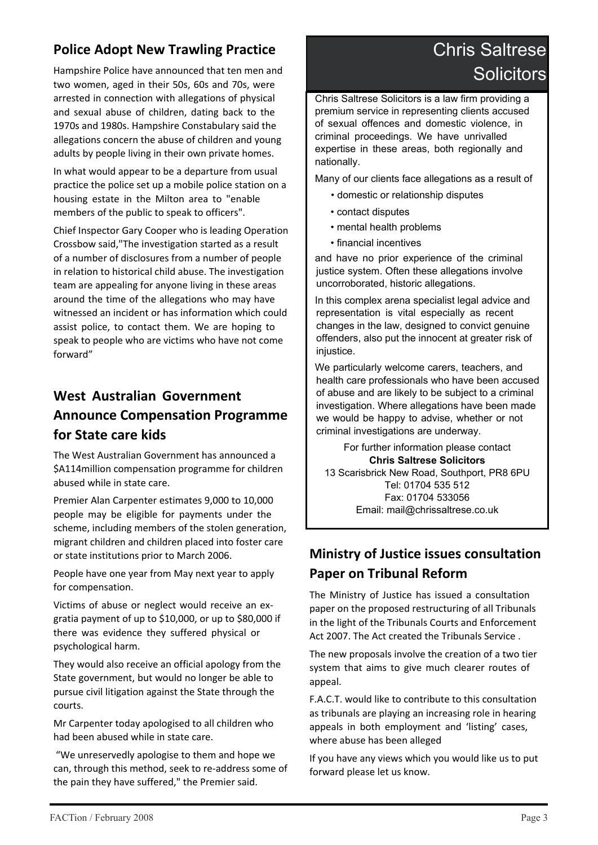### **Police Adopt New Trawling Practice**

Hampshire Police have announced that ten men and two women, aged in their 50s, 60s and 70s, were arrested in connection with allegations of physical and sexual abuse of children, dating back to the 1970s and 1980s. Hampshire Constabulary said the allegations concern the abuse of children and young adults by people living in their own private homes.

In what would appear to be a departure from usual practice the police set up a mobile police station on a housing estate in the Milton area to "enable members of the public to speak to officers".

Chief Inspector Gary Cooper who is leading Operation Crossbow said,"The investigation started as a result of a number of disclosures from a number of people in relation to historical child abuse. The investigation team are appealing for anyone living in these areas around the time of the allegations who may have witnessed an incident or has information which could assist police, to contact them. We are hoping to speak to people who are victims who have not come forward"

### **West Australian Government Announce Compensation Programme for State care kids**

The West Australian Government has announced a \$A114million compensation programme for children abused while in state care.

Premier Alan Carpenter estimates 9,000 to 10,000 people may be eligible for payments under the scheme, including members of the stolen generation, migrant children and children placed into foster care or state institutions prior to March 2006.

People have one year from May next year to apply for compensation.

Victims of abuse or neglect would receive an exgratia payment of up to \$10,000, or up to \$80,000 if there was evidence they suffered physical or psychological harm.

They would also receive an official apology from the State government, but would no longer be able to pursue civil litigation against the State through the courts.

Mr Carpenter today apologised to all children who had been abused while in state care.

 "We unreservedly apologise to them and hope we can, through this method, seek to re-address some of the pain they have suffered," the Premier said.

# Chris Saltrese **Solicitors**

Chris Saltrese Solicitors is a law firm providing a premium service in representing clients accused of sexual offences and domestic violence, in criminal proceedings. We have unrivalled expertise in these areas, both regionally and nationally.

Many of our clients face allegations as a result of

- domestic or relationship disputes
- contact disputes
- mental health problems
- financial incentives

and have no prior experience of the criminal justice system. Often these allegations involve uncorroborated, historic allegations.

In this complex arena specialist legal advice and representation is vital especially as recent changes in the law, designed to convict genuine offenders, also put the innocent at greater risk of injustice.

We particularly welcome carers, teachers, and health care professionals who have been accused of abuse and are likely to be subject to a criminal investigation. Where allegations have been made we would be happy to advise, whether or not criminal investigations are underway.

For further information please contact **Chris Saltrese Solicitors** 13 Scarisbrick New Road, Southport, PR8 6PU Tel: 01704 535 512 Fax: 01704 533056 Email: mail@chrissaltrese.co.uk

### **Ministry of Justice issues consultation Paper on Tribunal Reform**

The Ministry of Justice has issued a consultation paper on the proposed restructuring of all Tribunals in the light of the Tribunals Courts and Enforcement Act 2007. The Act created the Tribunals Service .

The new proposals involve the creation of a two tier system that aims to give much clearer routes of appeal.

F.A.C.T. would like to contribute to this consultation as tribunals are playing an increasing role in hearing appeals in both employment and 'listing' cases, where abuse has been alleged

If you have any views which you would like us to put forward please let us know.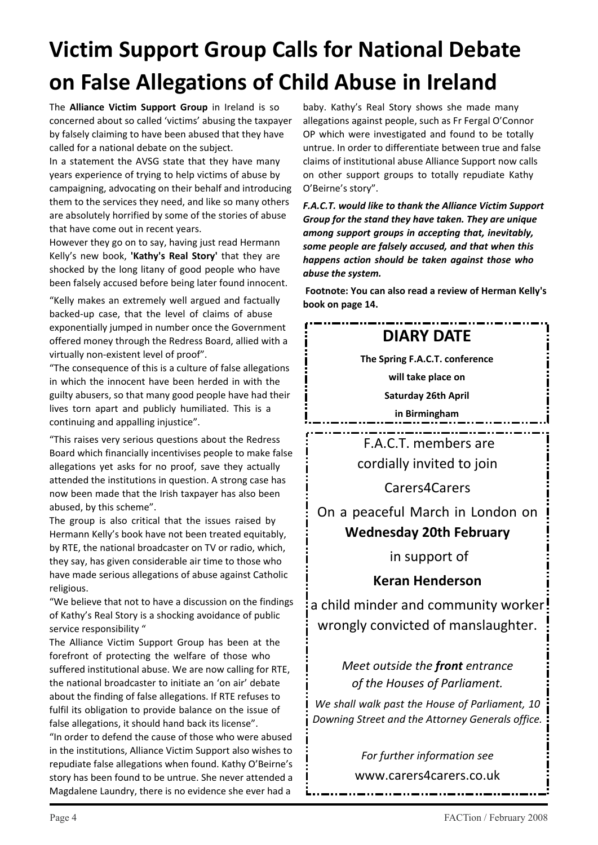# **Victim Support Group Calls for National Debate on False Allegations of Child Abuse in Ireland**

The **Alliance Victim Support Group** in Ireland is so concerned about so called 'victims' abusing the taxpayer by falsely claiming to have been abused that they have called for a national debate on the subject.

In a statement the AVSG state that they have many years experience of trying to help victims of abuse by campaigning, advocating on their behalf and introducing them to the services they need, and like so many others are absolutely horrified by some of the stories of abuse that have come out in recent years.

However they go on to say, having just read Hermann Kelly's new book, **'Kathy's Real Story'** that they are shocked by the long litany of good people who have been falsely accused before being later found innocent.

"Kelly makes an extremely well argued and factually backed-up case, that the level of claims of abuse exponentially jumped in number once the Government offered money through the Redress Board, allied with a virtually non-existent level of proof".

"The consequence of this is a culture of false allegations in which the innocent have been herded in with the guilty abusers, so that many good people have had their lives torn apart and publicly humiliated. This is a continuing and appalling injustice".

"This raises very serious questions about the Redress Board which financially incentivises people to make false allegations yet asks for no proof, save they actually attended the institutions in question. A strong case has now been made that the Irish taxpayer has also been abused, by this scheme".

The group is also critical that the issues raised by Hermann Kelly's book have not been treated equitably. by RTE, the national broadcaster on TV or radio, which, they say, has given considerable air time to those who have made serious allegations of abuse against Catholic religious.

"We believe that not to have a discussion on the findings of Kathy's Real Story is a shocking avoidance of public service responsibility "

The Alliance Victim Support Group has been at the forefront of protecting the welfare of those who suffered institutional abuse. We are now calling for RTE, the national broadcaster to initiate an 'on air' debate about the finding of false allegations. If RTE refuses to fulfil its obligation to provide balance on the issue of false allegations, it should hand back its license".

"In order to defend the cause of those who were abused in the institutions, Alliance Victim Support also wishes to repudiate false allegations when found. Kathy O'Beirne's story has been found to be untrue. She never attended a Magdalene Laundry, there is no evidence she ever had a

baby. Kathy's Real Story shows she made many allegations against people, such as Fr Fergal O'Connor OP which were investigated and found to be totally untrue. In order to differentiate between true and false claims of institutional abuse Alliance Support now calls on other support groups to totally repudiate Kathy O'Beirne's story".

*F.A.C.T. would like to thank the Alliance Victim Support Group for the stand they have taken. They are unique among support groups in accepting that, inevitably, some people are falsely accused, and that when this happens action should be taken against those who abuse the system.*

 **Footnote: You can also read a review of Herman Kelly's book on page 14.**

## **DIARY DATE**

**The Spring F.A.C.T. conference**

**will take place on**

**Saturday 26th April**

**in Birmingham**

 F.A.C.T. members are cordially invited to join

Carers4Carers

On a peaceful March in London on **Wednesday 20th February**

in support of

**Keran Henderson**

a child minder and community worker! wrongly convicted of manslaughter.

### *Meet outside the front entrance of the Houses of Parliament.*

*We shall walk past the House of Parliament, 10 Downing Street and the Attorney Generals office.*

*For further information see*

www.carers4carers.co.uk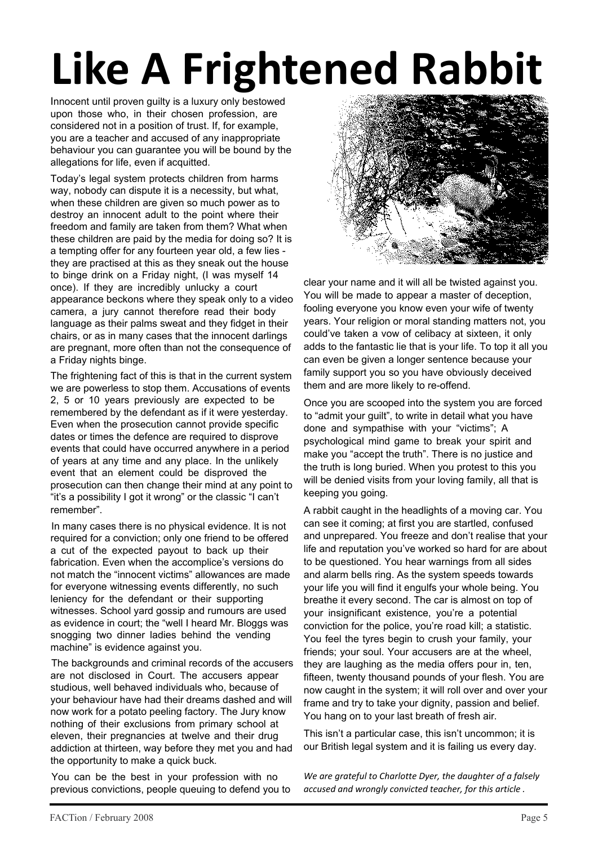# **Like A Frightened Rabbit**

Innocent until proven guilty is a luxury only bestowed upon those who, in their chosen profession, are considered not in a position of trust. If, for example, you are a teacher and accused of any inappropriate behaviour you can guarantee you will be bound by the allegations for life, even if acquitted.

Today's legal system protects children from harms way, nobody can dispute it is a necessity, but what, when these children are given so much power as to destroy an innocent adult to the point where their freedom and family are taken from them? What when these children are paid by the media for doing so? It is a tempting offer for any fourteen year old, a few lies they are practised at this as they sneak out the house to binge drink on a Friday night, (I was myself 14 once). If they are incredibly unlucky a court appearance beckons where they speak only to a video camera, a jury cannot therefore read their body language as their palms sweat and they fidget in their chairs, or as in many cases that the innocent darlings are pregnant, more often than not the consequence of a Friday nights binge.

The frightening fact of this is that in the current system we are powerless to stop them. Accusations of events 2, 5 or 10 years previously are expected to be remembered by the defendant as if it were yesterday. Even when the prosecution cannot provide specific dates or times the defence are required to disprove events that could have occurred anywhere in a period of years at any time and any place. In the unlikely event that an element could be disproved the prosecution can then change their mind at any point to "it's a possibility I got it wrong" or the classic "I can't remember".

In many cases there is no physical evidence. It is not required for a conviction; only one friend to be offered a cut of the expected payout to back up their fabrication. Even when the accomplice's versions do not match the "innocent victims" allowances are made for everyone witnessing events differently, no such leniency for the defendant or their supporting witnesses. School yard gossip and rumours are used as evidence in court; the "well I heard Mr. Bloggs was snogging two dinner ladies behind the vending machine" is evidence against you.

The backgrounds and criminal records of the accusers are not disclosed in Court. The accusers appear studious, well behaved individuals who, because of your behaviour have had their dreams dashed and will now work for a potato peeling factory. The Jury know nothing of their exclusions from primary school at eleven, their pregnancies at twelve and their drug addiction at thirteen, way before they met you and had the opportunity to make a quick buck.

You can be the best in your profession with no previous convictions, people queuing to defend you to



clear your name and it will all be twisted against you. You will be made to appear a master of deception, fooling everyone you know even your wife of twenty years. Your religion or moral standing matters not, you could've taken a vow of celibacy at sixteen, it only adds to the fantastic lie that is your life. To top it all you can even be given a longer sentence because your family support you so you have obviously deceived them and are more likely to re-offend.

Once you are scooped into the system you are forced to "admit your guilt", to write in detail what you have done and sympathise with your "victims"; A psychological mind game to break your spirit and make you "accept the truth". There is no justice and the truth is long buried. When you protest to this you will be denied visits from your loving family, all that is keeping you going.

A rabbit caught in the headlights of a moving car. You can see it coming; at first you are startled, confused and unprepared. You freeze and don't realise that your life and reputation you've worked so hard for are about to be questioned. You hear warnings from all sides and alarm bells ring. As the system speeds towards your life you will find it engulfs your whole being. You breathe it every second. The car is almost on top of your insignificant existence, you're a potential conviction for the police, you're road kill; a statistic. You feel the tyres begin to crush your family, your friends; your soul. Your accusers are at the wheel, they are laughing as the media offers pour in, ten, fifteen, twenty thousand pounds of your flesh. You are now caught in the system; it will roll over and over your frame and try to take your dignity, passion and belief. You hang on to your last breath of fresh air.

This isn't a particular case, this isn't uncommon; it is our British legal system and it is failing us every day.

*We are grateful to Charlotte Dyer, the daughter of a falsely accused and wrongly convicted teacher, for this article .*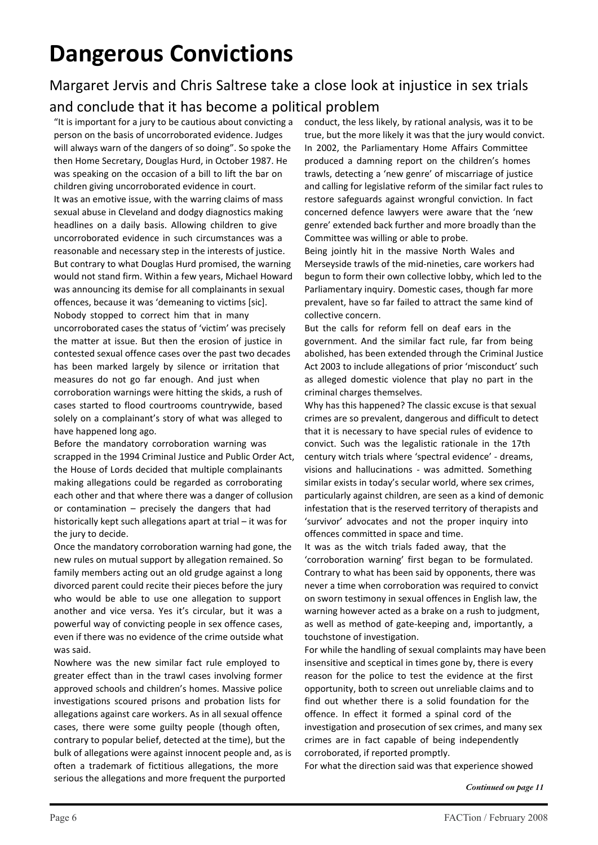# **Dangerous Convictions**

## Margaret Jervis and Chris Saltrese take a close look at injustice in sex trials and conclude that it has become a political problem

"It is important for a jury to be cautious about convicting a person on the basis of uncorroborated evidence. Judges will always warn of the dangers of so doing". So spoke the then Home Secretary, Douglas Hurd, in October 1987. He was speaking on the occasion of a bill to lift the bar on children giving uncorroborated evidence in court. It was an emotive issue, with the warring claims of mass sexual abuse in Cleveland and dodgy diagnostics making headlines on a daily basis. Allowing children to give uncorroborated evidence in such circumstances was a reasonable and necessary step in the interests of justice. But contrary to what Douglas Hurd promised, the warning would not stand firm. Within a few years, Michael Howard was announcing its demise for all complainants in sexual offences, because it was 'demeaning to victims [sic]. Nobody stopped to correct him that in many uncorroborated cases the status of 'victim' was precisely the matter at issue. But then the erosion of justice in contested sexual offence cases over the past two decades has been marked largely by silence or irritation that measures do not go far enough. And just when corroboration warnings were hitting the skids, a rush of cases started to flood courtrooms countrywide, based solely on a complainant's story of what was alleged to have happened long ago.

Before the mandatory corroboration warning was scrapped in the 1994 Criminal Justice and Public Order Act, the House of Lords decided that multiple complainants making allegations could be regarded as corroborating each other and that where there was a danger of collusion or contamination – precisely the dangers that had historically kept such allegations apart at trial – it was for the jury to decide.

Once the mandatory corroboration warning had gone, the new rules on mutual support by allegation remained. So family members acting out an old grudge against a long divorced parent could recite their pieces before the jury who would be able to use one allegation to support another and vice versa. Yes it's circular, but it was a powerful way of convicting people in sex offence cases, even if there was no evidence of the crime outside what was said.

Nowhere was the new similar fact rule employed to greater effect than in the trawl cases involving former approved schools and children's homes. Massive police investigations scoured prisons and probation lists for allegations against care workers. As in all sexual offence cases, there were some guilty people (though often, contrary to popular belief, detected at the time), but the bulk of allegations were against innocent people and, as is often a trademark of fictitious allegations, the more serious the allegations and more frequent the purported

conduct, the less likely, by rational analysis, was it to be true, but the more likely it was that the jury would convict. In 2002, the Parliamentary Home Affairs Committee produced a damning report on the children's homes trawls, detecting a 'new genre' of miscarriage of justice and calling for legislative reform of the similar fact rules to restore safeguards against wrongful conviction. In fact concerned defence lawyers were aware that the 'new genre' extended back further and more broadly than the Committee was willing or able to probe.

Being jointly hit in the massive North Wales and Merseyside trawls of the mid-nineties, care workers had begun to form their own collective lobby, which led to the Parliamentary inquiry. Domestic cases, though far more prevalent, have so far failed to attract the same kind of collective concern.

But the calls for reform fell on deaf ears in the government. And the similar fact rule, far from being abolished, has been extended through the Criminal Justice Act 2003 to include allegations of prior 'misconduct' such as alleged domestic violence that play no part in the criminal charges themselves.

Why has this happened? The classic excuse is that sexual crimes are so prevalent, dangerous and difficult to detect that it is necessary to have special rules of evidence to convict. Such was the legalistic rationale in the 17th century witch trials where 'spectral evidence' - dreams, visions and hallucinations - was admitted. Something similar exists in today's secular world, where sex crimes, particularly against children, are seen as a kind of demonic infestation that is the reserved territory of therapists and 'survivor' advocates and not the proper inquiry into offences committed in space and time.

It was as the witch trials faded away, that the 'corroboration warning' first began to be formulated. Contrary to what has been said by opponents, there was never a time when corroboration was required to convict on sworn testimony in sexual offences in English law, the warning however acted as a brake on a rush to judgment, as well as method of gate-keeping and, importantly, a touchstone of investigation.

For while the handling of sexual complaints may have been insensitive and sceptical in times gone by, there is every reason for the police to test the evidence at the first opportunity, both to screen out unreliable claims and to find out whether there is a solid foundation for the offence. In effect it formed a spinal cord of the investigation and prosecution of sex crimes, and many sex crimes are in fact capable of being independently corroborated, if reported promptly.

For what the direction said was that experience showed

*Continued on page 11*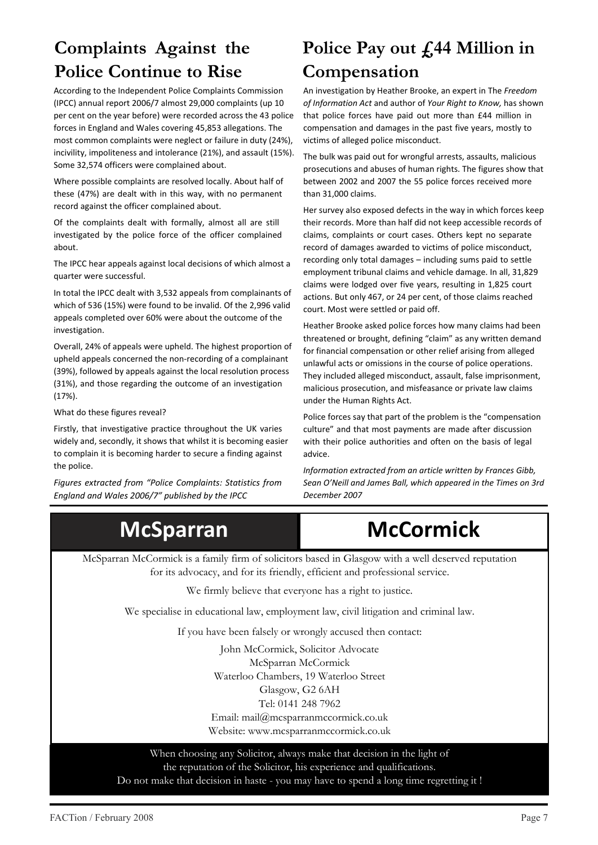# **Complaints Against the Police Continue to Rise**

According to the Independent Police Complaints Commission (IPCC) annual report 2006/7 almost 29,000 complaints (up 10 per cent on the year before) were recorded across the 43 police forces in England and Wales covering 45,853 allegations. The most common complaints were neglect or failure in duty (24%), incivility, impoliteness and intolerance (21%), and assault (15%). Some 32,574 officers were complained about.

Where possible complaints are resolved locally. About half of these (47%) are dealt with in this way, with no permanent record against the officer complained about.

Of the complaints dealt with formally, almost all are still investigated by the police force of the officer complained about.

The IPCC hear appeals against local decisions of which almost a quarter were successful.

In total the IPCC dealt with 3,532 appeals from complainants of which of 536 (15%) were found to be invalid. Of the 2,996 valid appeals completed over 60% were about the outcome of the investigation.

Overall, 24% of appeals were upheld. The highest proportion of upheld appeals concerned the non-recording of a complainant (39%), followed by appeals against the local resolution process (31%), and those regarding the outcome of an investigation (17%).

What do these figures reveal?

Firstly, that investigative practice throughout the UK varies widely and, secondly, it shows that whilst it is becoming easier to complain it is becoming harder to secure a finding against the police.

*Figures extracted from "Police Complaints: Statistics from England and Wales 2006/7" published by the IPCC*

# **Police Pay out £44 Million in Compensation**

An investigation by Heather Brooke, an expert in The *Freedom of Information Act* and author of *Your Right to Know,* has shown that police forces have paid out more than £44 million in compensation and damages in the past five years, mostly to victims of alleged police misconduct.

The bulk was paid out for wrongful arrests, assaults, malicious prosecutions and abuses of human rights. The figures show that between 2002 and 2007 the 55 police forces received more than 31,000 claims.

Her survey also exposed defects in the way in which forces keep their records. More than half did not keep accessible records of claims, complaints or court cases. Others kept no separate record of damages awarded to victims of police misconduct, recording only total damages – including sums paid to settle employment tribunal claims and vehicle damage. In all, 31,829 claims were lodged over five years, resulting in 1,825 court actions. But only 467, or 24 per cent, of those claims reached court. Most were settled or paid off.

Heather Brooke asked police forces how many claims had been threatened or brought, defining "claim" as any written demand for financial compensation or other relief arising from alleged unlawful acts or omissions in the course of police operations. They included alleged misconduct, assault, false imprisonment, malicious prosecution, and misfeasance or private law claims under the Human Rights Act.

Police forces say that part of the problem is the "compensation culture" and that most payments are made after discussion with their police authorities and often on the basis of legal advice.

*Information extracted from an article written by Frances Gibb, Sean O'Neill and James Ball, which appeared in the Times on 3rd December 2007*



McSparran McCormick is a family firm of solicitors based in Glasgow with a well deserved reputation for its advocacy, and for its friendly, efficient and professional service.

We firmly believe that everyone has a right to justice.

We specialise in educational law, employment law, civil litigation and criminal law.

If you have been falsely or wrongly accused then contact:

John McCormick, Solicitor Advocate McSparran McCormick Waterloo Chambers, 19 Waterloo Street Glasgow, G2 6AH Tel: 0141 248 7962 Email: mail@mcsparranmccormick.co.uk Website: www.mcsparranmccormick.co.uk

When choosing any Solicitor, always make that decision in the light of the reputation of the Solicitor, his experience and qualifications. Do not make that decision in haste - you may have to spend a long time regretting it !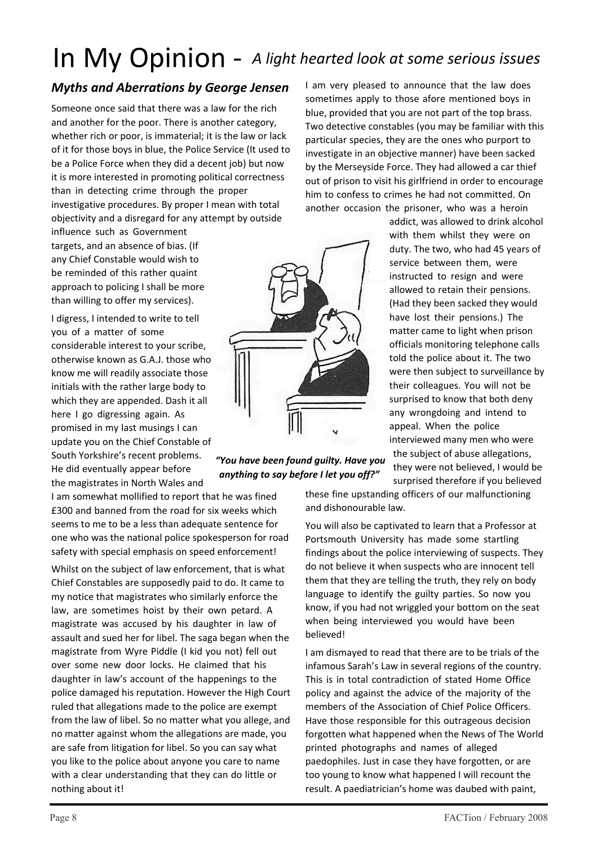# In My Opinion - *A light hearted look at some serious issues*

#### *Myths and Aberrations by George Jensen*

Someone once said that there was a law for the rich and another for the poor. There is another category, whether rich or poor, is immaterial; it is the law or lack of it for those boys in blue, the Police Service (It used to be a Police Force when they did a decent job) but now it is more interested in promoting political correctness than in detecting crime through the proper investigative procedures. By proper I mean with total objectivity and a disregard for any attempt by outside

influence such as Government targets, and an absence of bias. (If any Chief Constable would wish to be reminded of this rather quaint approach to policing I shall be more than willing to offer my services).

I digress, I intended to write to tell you of a matter of some considerable interest to your scribe, otherwise known as G.A.J. those who know me will readily associate those initials with the rather large body to which they are appended. Dash it all here I go digressing again. As promised in my last musings I can update you on the Chief Constable of South Yorkshire's recent problems. He did eventually appear before

the magistrates in North Wales and

I am somewhat mollified to report that he was fined £300 and banned from the road for six weeks which seems to me to be a less than adequate sentence for one who was the national police spokesperson for road safety with special emphasis on speed enforcement!

Whilst on the subject of law enforcement, that is what Chief Constables are supposedly paid to do. It came to my notice that magistrates who similarly enforce the law, are sometimes hoist by their own petard. A magistrate was accused by his daughter in law of assault and sued her for libel. The saga began when the magistrate from Wyre Piddle (I kid you not) fell out over some new door locks. He claimed that his daughter in law's account of the happenings to the police damaged his reputation. However the High Court ruled that allegations made to the police are exempt from the law of libel. So no matter what you allege, and no matter against whom the allegations are made, you are safe from litigation for libel. So you can say what you like to the police about anyone you care to name with a clear understanding that they can do little or nothing about it!



#### *"You have been found guilty. Have you anything to say before I let you off?"*

I am very pleased to announce that the law does sometimes apply to those afore mentioned boys in blue, provided that you are not part of the top brass. Two detective constables (you may be familiar with this particular species, they are the ones who purport to investigate in an objective manner) have been sacked by the Merseyside Force. They had allowed a car thief out of prison to visit his girlfriend in order to encourage him to confess to crimes he had not committed. On another occasion the prisoner, who was a heroin

> addict, was allowed to drink alcohol with them whilst they were on duty. The two, who had 45 years of service between them, were instructed to resign and were allowed to retain their pensions. (Had they been sacked they would have lost their pensions.) The matter came to light when prison officials monitoring telephone calls told the police about it. The two were then subject to surveillance by their colleagues. You will not be surprised to know that both deny any wrongdoing and intend to appeal. When the police interviewed many men who were the subject of abuse allegations, they were not believed, I would be surprised therefore if you believed

these fine upstanding officers of our malfunctioning and dishonourable law.

You will also be captivated to learn that a Professor at Portsmouth University has made some startling findings about the police interviewing of suspects. They do not believe it when suspects who are innocent tell them that they are telling the truth, they rely on body language to identify the guilty parties. So now you know, if you had not wriggled your bottom on the seat when being interviewed you would have been believed!

I am dismayed to read that there are to be trials of the infamous Sarah's Law in several regions of the country. This is in total contradiction of stated Home Office policy and against the advice of the majority of the members of the Association of Chief Police Officers. Have those responsible for this outrageous decision forgotten what happened when the News of The World printed photographs and names of alleged paedophiles. Just in case they have forgotten, or are too young to know what happened I will recount the result. A paediatrician's home was daubed with paint,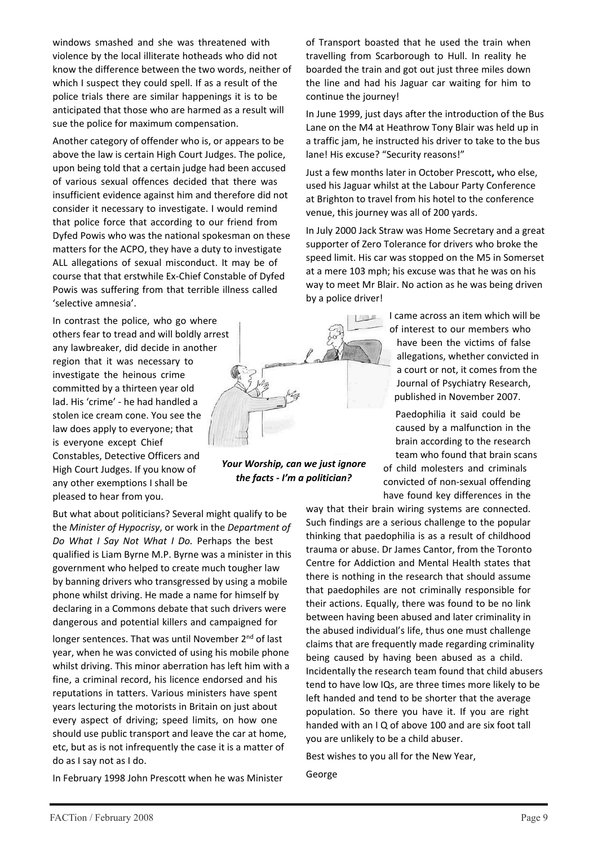windows smashed and she was threatened with violence by the local illiterate hotheads who did not know the difference between the two words, neither of which I suspect they could spell. If as a result of the police trials there are similar happenings it is to be anticipated that those who are harmed as a result will sue the police for maximum compensation.

Another category of offender who is, or appears to be above the law is certain High Court Judges. The police, upon being told that a certain judge had been accused of various sexual offences decided that there was insufficient evidence against him and therefore did not consider it necessary to investigate. I would remind that police force that according to our friend from Dyfed Powis who was the national spokesman on these matters for the ACPO, they have a duty to investigate ALL allegations of sexual misconduct. It may be of course that that erstwhile Ex-Chief Constable of Dyfed Powis was suffering from that terrible illness called 'selective amnesia'.

In contrast the police, who go where others fear to tread and will boldly arrest any lawbreaker, did decide in another region that it was necessary to investigate the heinous crime committed by a thirteen year old lad. His 'crime' - he had handled a stolen ice cream cone. You see the law does apply to everyone; that is everyone except Chief Constables, Detective Officers and High Court Judges. If you know of any other exemptions I shall be pleased to hear from you.

But what about politicians? Several might qualify to be the *Minister of Hypocrisy*, or work in the *Department of Do What I Say Not What I Do.* Perhaps the best qualified is Liam Byrne M.P. Byrne was a minister in this government who helped to create much tougher law by banning drivers who transgressed by using a mobile phone whilst driving. He made a name for himself by declaring in a Commons debate that such drivers were dangerous and potential killers and campaigned for

longer sentences. That was until November 2<sup>nd</sup> of last year, when he was convicted of using his mobile phone whilst driving. This minor aberration has left him with a fine, a criminal record, his licence endorsed and his reputations in tatters. Various ministers have spent years lecturing the motorists in Britain on just about every aspect of driving; speed limits, on how one should use public transport and leave the car at home, etc, but as is not infrequently the case it is a matter of do as I say not as I do.

In February 1998 John Prescott when he was Minister

of Transport boasted that he used the train when travelling from Scarborough to Hull. In reality he boarded the train and got out just three miles down the line and had his Jaguar car waiting for him to continue the journey!

In June 1999, just days after the introduction of the Bus Lane on the M4 at Heathrow Tony Blair was held up in a traffic jam, he instructed his driver to take to the bus lane! His excuse? "Security reasons!"

Just a few months later in October Prescott**,** who else, used his Jaguar whilst at the Labour Party Conference at Brighton to travel from his hotel to the conference venue, this journey was all of 200 yards.

In July 2000 Jack Straw was Home Secretary and a great supporter of Zero Tolerance for drivers who broke the speed limit. His car was stopped on the M5 in Somerset at a mere 103 mph; his excuse was that he was on his way to meet Mr Blair. No action as he was being driven by a police driver!

> I came across an item which will be of interest to our members who have been the victims of false allegations, whether convicted in a court or not, it comes from the Journal of Psychiatry Research, published in November 2007.

Paedophilia it said could be caused by a malfunction in the brain according to the research team who found that brain scans

of child molesters and criminals convicted of non-sexual offending have found key differences in the

way that their brain wiring systems are connected. Such findings are a serious challenge to the popular thinking that paedophilia is as a result of childhood trauma or abuse. Dr James Cantor, from the Toronto Centre for Addiction and Mental Health states that there is nothing in the research that should assume that paedophiles are not criminally responsible for their actions. Equally, there was found to be no link between having been abused and later criminality in the abused individual's life, thus one must challenge claims that are frequently made regarding criminality being caused by having been abused as a child. Incidentally the research team found that child abusers tend to have low IQs, are three times more likely to be left handed and tend to be shorter that the average population. So there you have it. If you are right handed with an I Q of above 100 and are six foot tall you are unlikely to be a child abuser.

Best wishes to you all for the New Year,

George



*Your Worship, can we just ignore the facts - I'm a politician?*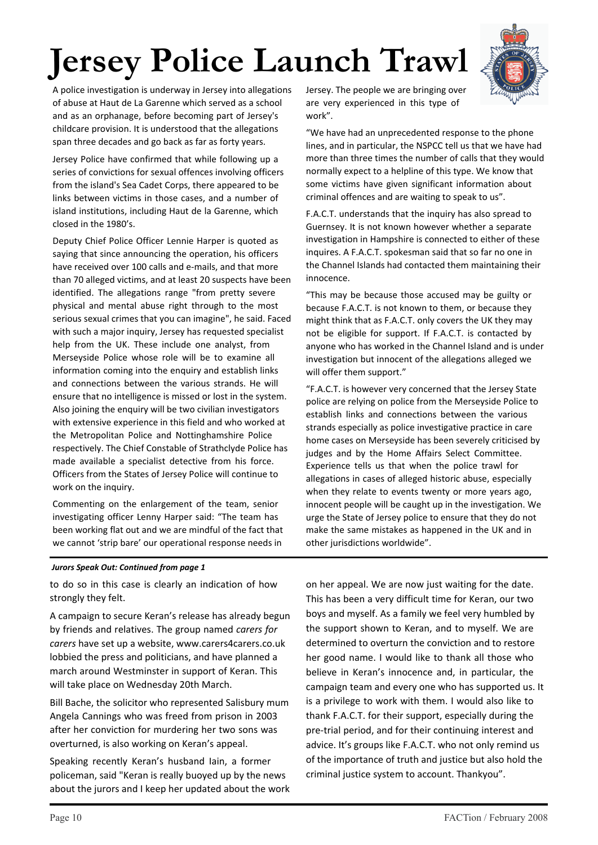# **Jersey Police Launch Trawl**



A police investigation is underway in Jersey into allegations of abuse at Haut de La Garenne which served as a school and as an orphanage, before becoming part of Jersey's childcare provision. It is understood that the allegations span three decades and go back as far as forty years.

Jersey Police have confirmed that while following up a series of convictions for sexual offences involving officers from the island's Sea Cadet Corps, there appeared to be links between victims in those cases, and a number of island institutions, including Haut de la Garenne, which closed in the 1980's.

Deputy Chief Police Officer Lennie Harper is quoted as saying that since announcing the operation, his officers have received over 100 calls and e-mails, and that more than 70 alleged victims, and at least 20 suspects have been identified. The allegations range "from pretty severe physical and mental abuse right through to the most serious sexual crimes that you can imagine", he said. Faced with such a major inquiry, Jersey has requested specialist help from the UK. These include one analyst, from Merseyside Police whose role will be to examine all information coming into the enquiry and establish links and connections between the various strands. He will ensure that no intelligence is missed or lost in the system. Also joining the enquiry will be two civilian investigators with extensive experience in this field and who worked at the Metropolitan Police and Nottinghamshire Police respectively. The Chief Constable of Strathclyde Police has made available a specialist detective from his force. Officers from the States of Jersey Police will continue to work on the inquiry.

Commenting on the enlargement of the team, senior investigating officer Lenny Harper said: "The team has been working flat out and we are mindful of the fact that we cannot 'strip bare' our operational response needs in

Jersey. The people we are bringing over are very experienced in this type of work".

"We have had an unprecedented response to the phone lines, and in particular, the NSPCC tell us that we have had more than three times the number of calls that they would normally expect to a helpline of this type. We know that some victims have given significant information about criminal offences and are waiting to speak to us".

F.A.C.T. understands that the inquiry has also spread to Guernsey. It is not known however whether a separate investigation in Hampshire is connected to either of these inquires. A F.A.C.T. spokesman said that so far no one in the Channel Islands had contacted them maintaining their innocence.

"This may be because those accused may be guilty or because F.A.C.T. is not known to them, or because they might think that as F.A.C.T. only covers the UK they may not be eligible for support. If F.A.C.T. is contacted by anyone who has worked in the Channel Island and is under investigation but innocent of the allegations alleged we will offer them support."

"F.A.C.T. is however very concerned that the Jersey State police are relying on police from the Merseyside Police to establish links and connections between the various strands especially as police investigative practice in care home cases on Merseyside has been severely criticised by judges and by the Home Affairs Select Committee. Experience tells us that when the police trawl for allegations in cases of alleged historic abuse, especially when they relate to events twenty or more years ago, innocent people will be caught up in the investigation. We urge the State of Jersey police to ensure that they do not make the same mistakes as happened in the UK and in other jurisdictions worldwide".

#### *Jurors Speak Out: Continued from page 1*

to do so in this case is clearly an indication of how strongly they felt.

A campaign to secure Keran's release has already begun by friends and relatives. The group named *carers for carers* have set up a website, www.carers4carers.co.uk lobbied the press and politicians, and have planned a march around Westminster in support of Keran. This will take place on Wednesday 20th March.

Bill Bache, the solicitor who represented Salisbury mum Angela Cannings who was freed from prison in 2003 after her conviction for murdering her two sons was overturned, is also working on Keran's appeal.

Speaking recently Keran's husband Iain, a former policeman, said "Keran is really buoyed up by the news about the jurors and I keep her updated about the work on her appeal. We are now just waiting for the date. This has been a very difficult time for Keran, our two boys and myself. As a family we feel very humbled by the support shown to Keran, and to myself. We are determined to overturn the conviction and to restore her good name. I would like to thank all those who believe in Keran's innocence and, in particular, the campaign team and every one who has supported us. It is a privilege to work with them. I would also like to thank F.A.C.T. for their support, especially during the pre-trial period, and for their continuing interest and advice. It's groups like F.A.C.T. who not only remind us of the importance of truth and justice but also hold the criminal justice system to account. Thankyou".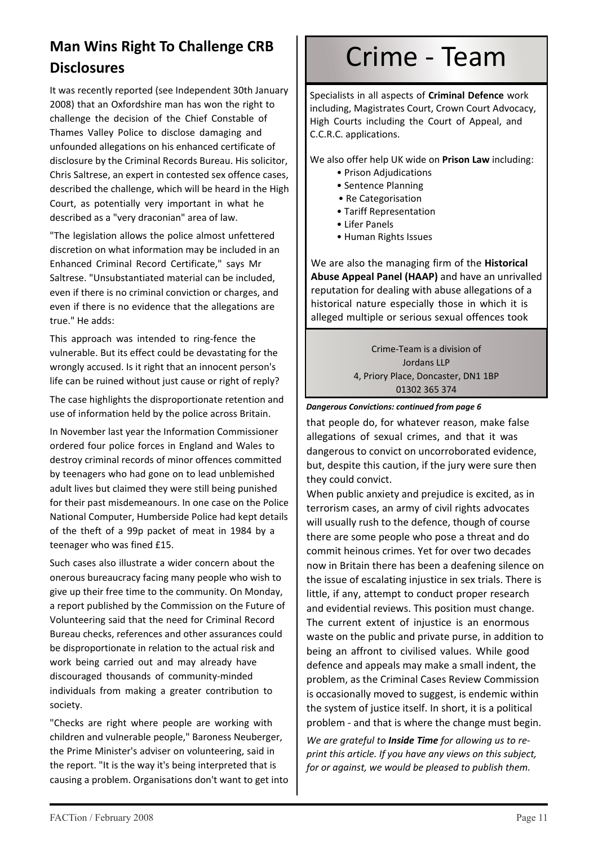## **Man Wins Right To Challenge CRB Disclosures**

It was recently reported (see Independent 30th January 2008) that an Oxfordshire man has won the right to challenge the decision of the Chief Constable of Thames Valley Police to disclose damaging and unfounded allegations on his enhanced certificate of disclosure by the Criminal Records Bureau. His solicitor, Chris Saltrese, an expert in contested sex offence cases, described the challenge, which will be heard in the High Court, as potentially very important in what he described as a "very draconian" area of law.

"The legislation allows the police almost unfettered discretion on what information may be included in an Enhanced Criminal Record Certificate," says Mr Saltrese. "Unsubstantiated material can be included, even if there is no criminal conviction or charges, and even if there is no evidence that the allegations are true." He adds:

This approach was intended to ring-fence the vulnerable. But its effect could be devastating for the wrongly accused. Is it right that an innocent person's life can be ruined without just cause or right of reply?

The case highlights the disproportionate retention and use of information held by the police across Britain.

In November last year the Information Commissioner ordered four police forces in England and Wales to destroy criminal records of minor offences committed by teenagers who had gone on to lead unblemished adult lives but claimed they were still being punished for their past misdemeanours. In one case on the Police National Computer, Humberside Police had kept details of the theft of a 99p packet of meat in 1984 by a teenager who was fined £15.

Such cases also illustrate a wider concern about the onerous bureaucracy facing many people who wish to give up their free time to the community. On Monday, a report published by the Commission on the Future of Volunteering said that the need for Criminal Record Bureau checks, references and other assurances could be disproportionate in relation to the actual risk and work being carried out and may already have discouraged thousands of community-minded individuals from making a greater contribution to society.

"Checks are right where people are working with children and vulnerable people," Baroness Neuberger, the Prime Minister's adviser on volunteering, said in the report. "It is the way it's being interpreted that is causing a problem. Organisations don't want to get into

# Crime - Team

Specialists in all aspects of **Criminal Defence** work including, Magistrates Court, Crown Court Advocacy, High Courts including the Court of Appeal, and C.C.R.C. applications.

We also offer help UK wide on **Prison Law** including:

- Prison Adjudications
- Sentence Planning
- Re Categorisation
- Tariff Representation
- Lifer Panels
- Human Rights Issues

We are also the managing firm of the **Historical Abuse Appeal Panel (HAAP)** and have an unrivalled reputation for dealing with abuse allegations of a historical nature especially those in which it is alleged multiple or serious sexual offences took

> Crime-Team is a division of Jordans LLP 4, Priory Place, Doncaster, DN1 1BP 01302 365 374

#### *Dangerous Convictions: continued from page 6*

that people do, for whatever reason, make false allegations of sexual crimes, and that it was dangerous to convict on uncorroborated evidence, but, despite this caution, if the jury were sure then they could convict.

When public anxiety and prejudice is excited, as in terrorism cases, an army of civil rights advocates will usually rush to the defence, though of course there are some people who pose a threat and do commit heinous crimes. Yet for over two decades now in Britain there has been a deafening silence on the issue of escalating injustice in sex trials. There is little, if any, attempt to conduct proper research and evidential reviews. This position must change. The current extent of injustice is an enormous waste on the public and private purse, in addition to being an affront to civilised values. While good defence and appeals may make a small indent, the problem, as the Criminal Cases Review Commission is occasionally moved to suggest, is endemic within the system of justice itself. In short, it is a political problem - and that is where the change must begin.

*We are grateful to Inside Time for allowing us to reprint this article. If you have any views on this subject, for or against, we would be pleased to publish them.*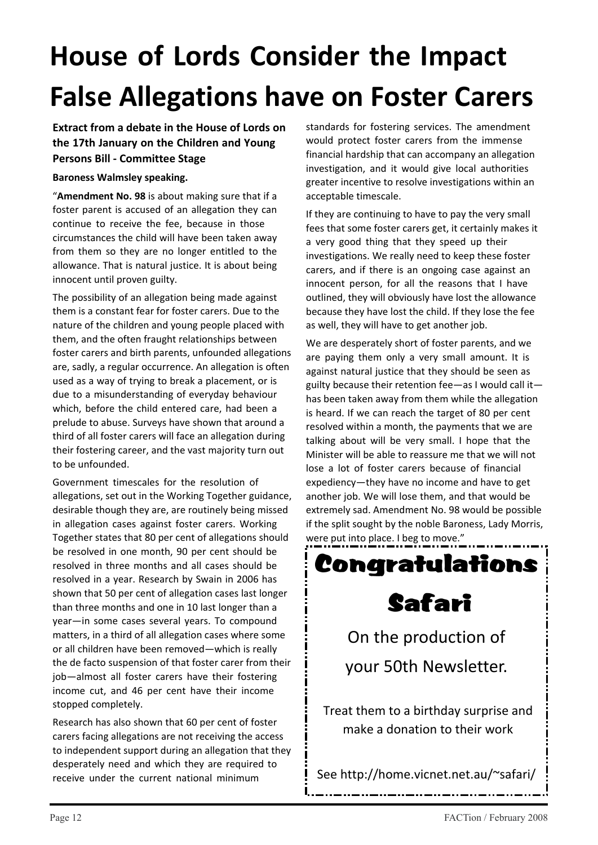# **House of Lords Consider the Impact False Allegations have on Foster Carers**

#### **Extract from a debate in the House of Lords on the 17th January on the Children and Young Persons Bill - Committee Stage**

#### **Baroness Walmsley speaking.**

"**Amendment No. 98** is about making sure that if a foster parent is accused of an allegation they can continue to receive the fee, because in those circumstances the child will have been taken away from them so they are no longer entitled to the allowance. That is natural justice. It is about being innocent until proven guilty.

The possibility of an allegation being made against them is a constant fear for foster carers. Due to the nature of the children and young people placed with them, and the often fraught relationships between foster carers and birth parents, unfounded allegations are, sadly, a regular occurrence. An allegation is often used as a way of trying to break a placement, or is due to a misunderstanding of everyday behaviour which, before the child entered care, had been a prelude to abuse. Surveys have shown that around a third of all foster carers will face an allegation during their fostering career, and the vast majority turn out to be unfounded.

Government timescales for the resolution of allegations, set out in the Working Together guidance, desirable though they are, are routinely being missed in allegation cases against foster carers. Working Together states that 80 per cent of allegations should be resolved in one month, 90 per cent should be resolved in three months and all cases should be resolved in a year. Research by Swain in 2006 has shown that 50 per cent of allegation cases last longer than three months and one in 10 last longer than a year—in some cases several years. To compound matters, in a third of all allegation cases where some or all children have been removed—which is really the de facto suspension of that foster carer from their job—almost all foster carers have their fostering income cut, and 46 per cent have their income stopped completely.

Research has also shown that 60 per cent of foster carers facing allegations are not receiving the access to independent support during an allegation that they desperately need and which they are required to receive under the current national minimum

standards for fostering services. The amendment would protect foster carers from the immense financial hardship that can accompany an allegation investigation, and it would give local authorities greater incentive to resolve investigations within an acceptable timescale.

If they are continuing to have to pay the very small fees that some foster carers get, it certainly makes it a very good thing that they speed up their investigations. We really need to keep these foster carers, and if there is an ongoing case against an innocent person, for all the reasons that I have outlined, they will obviously have lost the allowance because they have lost the child. If they lose the fee as well, they will have to get another job.

We are desperately short of foster parents, and we are paying them only a very small amount. It is against natural justice that they should be seen as guilty because their retention fee—as I would call it has been taken away from them while the allegation is heard. If we can reach the target of 80 per cent resolved within a month, the payments that we are talking about will be very small. I hope that the Minister will be able to reassure me that we will not lose a lot of foster carers because of financial expediency—they have no income and have to get another job. We will lose them, and that would be extremely sad. Amendment No. 98 would be possible if the split sought by the noble Baroness, Lady Morris, were put into place. I beg to move."



See http://home.vicnet.net.au/~safari/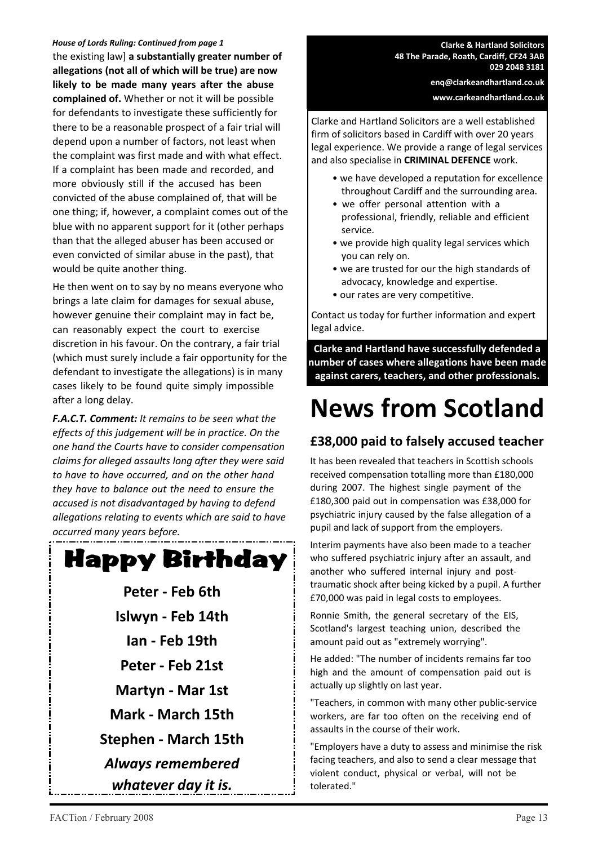#### *House of Lords Ruling: Continued from page 1*

the existing law] **a substantially greater number of allegations (not all of which will be true) are now likely to be made many years after the abuse complained of.** Whether or not it will be possible for defendants to investigate these sufficiently for there to be a reasonable prospect of a fair trial will depend upon a number of factors, not least when the complaint was first made and with what effect. If a complaint has been made and recorded, and more obviously still if the accused has been convicted of the abuse complained of, that will be one thing; if, however, a complaint comes out of the blue with no apparent support for it (other perhaps than that the alleged abuser has been accused or even convicted of similar abuse in the past), that would be quite another thing.

He then went on to say by no means everyone who brings a late claim for damages for sexual abuse, however genuine their complaint may in fact be, can reasonably expect the court to exercise discretion in his favour. On the contrary, a fair trial (which must surely include a fair opportunity for the defendant to investigate the allegations) is in many cases likely to be found quite simply impossible after a long delay.

*F.A.C.T. Comment: It remains to be seen what the effects of this judgement will be in practice. On the one hand the Courts have to consider compensation claims for alleged assaults long after they were said to have to have occurred, and on the other hand they have to balance out the need to ensure the accused is not disadvantaged by having to defend allegations relating to events which are said to have occurred many years before.*



- **Peter Feb 6th Islwyn - Feb 14th Ian - Feb 19th Peter - Feb 21st Martyn - Mar 1st Mark - March 15th Stephen - March 15th** *Always remembered*
	- *whatever day it is.*

**Clarke & Hartland Solicitors 48 The Parade, Roath, Cardiff, CF24 3AB 029 2048 3181**

> **enq@clarkeandhartland.co.uk www.carkeandhartland.co.uk**

Clarke and Hartland Solicitors are a well established firm of solicitors based in Cardiff with over 20 years legal experience. We provide a range of legal services and also specialise in **CRIMINAL DEFENCE** work.

- we have developed a reputation for excellence throughout Cardiff and the surrounding area.
- we offer personal attention with a professional, friendly, reliable and efficient service.
- we provide high quality legal services which you can rely on.
- we are trusted for our the high standards of advocacy, knowledge and expertise.
- our rates are very competitive.

Contact us today for further information and expert legal advice.

**Clarke and Hartland have successfully defended a number of cases where allegations have been made against carers, teachers, and other professionals.**

# **News from Scotland**

#### **£38,000 paid to falsely accused teacher**

It has been revealed that teachers in Scottish schools received compensation totalling more than £180,000 during 2007. The highest single payment of the £180,300 paid out in compensation was £38,000 for psychiatric injury caused by the false allegation of a pupil and lack of support from the employers.

Interim payments have also been made to a teacher who suffered psychiatric injury after an assault, and another who suffered internal injury and posttraumatic shock after being kicked by a pupil. A further £70,000 was paid in legal costs to employees.

Ronnie Smith, the general secretary of the EIS, Scotland's largest teaching union, described the amount paid out as "extremely worrying".

He added: "The number of incidents remains far too high and the amount of compensation paid out is actually up slightly on last year.

"Teachers, in common with many other public-service workers, are far too often on the receiving end of assaults in the course of their work.

"Employers have a duty to assess and minimise the risk facing teachers, and also to send a clear message that violent conduct, physical or verbal, will not be tolerated."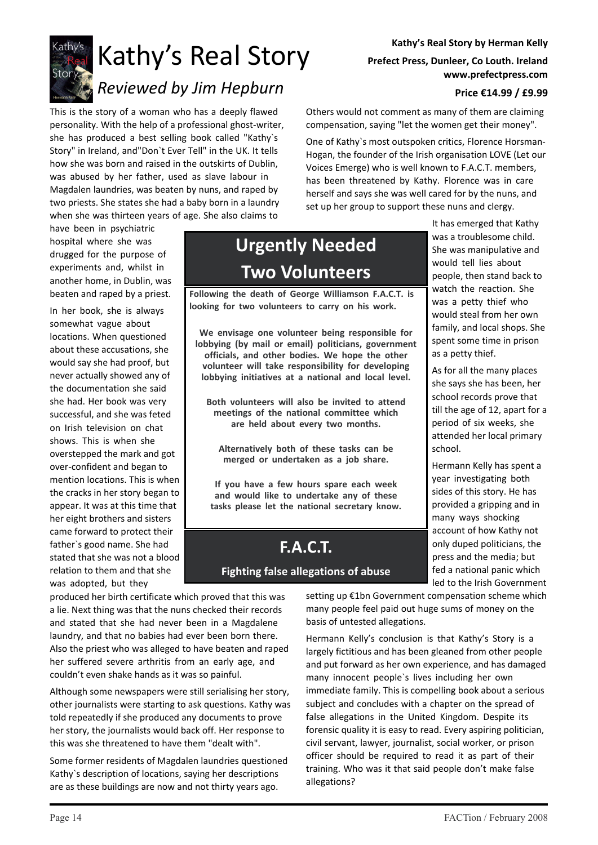

# Kathy's Real Story

# *Reviewed by Jim Hepburn*

This is the story of a woman who has a deeply flawed personality. With the help of a professional ghost-writer, she has produced a best selling book called "Kathy`s Story" in Ireland, and"Don`t Ever Tell" in the UK. It tells how she was born and raised in the outskirts of Dublin, was abused by her father, used as slave labour in Magdalen laundries, was beaten by nuns, and raped by two priests. She states she had a baby born in a laundry when she was thirteen years of age. She also claims to

have been in psychiatric hospital where she was drugged for the purpose of experiments and, whilst in another home, in Dublin, was beaten and raped by a priest.

In her book, she is always somewhat vague about locations. When questioned about these accusations, she would say she had proof, but never actually showed any of the documentation she said she had. Her book was very successful, and she was feted on Irish television on chat shows. This is when she overstepped the mark and got over-confident and began to mention locations. This is when the cracks in her story began to appear. It was at this time that her eight brothers and sisters came forward to protect their father`s good name. She had stated that she was not a blood relation to them and that she was adopted, but they

# **Urgently Needed Two Volunteers**

**Following the death of George Williamson F.A.C.T. is looking for two volunteers to carry on his work.**

**We envisage one volunteer being responsible for lobbying (by mail or email) politicians, government officials, and other bodies. We hope the other volunteer will take responsibility for developing lobbying initiatives at a national and local level.**

**Both volunteers will also be invited to attend meetings of the national committee which are held about every two months.**

**Alternatively both of these tasks can be merged or undertaken as a job share.**

**If you have a few hours spare each week and would like to undertake any of these tasks please let the national secretary know.**

# **F.A.C.T.**

#### **Fighting false allegations of abuse**

produced her birth certificate which proved that this was a lie. Next thing was that the nuns checked their records and stated that she had never been in a Magdalene laundry, and that no babies had ever been born there. Also the priest who was alleged to have beaten and raped her suffered severe arthritis from an early age, and couldn't even shake hands as it was so painful.

Although some newspapers were still serialising her story, other journalists were starting to ask questions. Kathy was told repeatedly if she produced any documents to prove her story, the journalists would back off. Her response to this was she threatened to have them "dealt with".

Some former residents of Magdalen laundries questioned Kathy`s description of locations, saying her descriptions are as these buildings are now and not thirty years ago.

#### **Kathy's Real Story by Herman Kelly Prefect Press, Dunleer, Co Louth. Ireland www.prefectpress.com**

#### **Price €14.99 / £9.99**

Others would not comment as many of them are claiming compensation, saying "let the women get their money".

One of Kathy`s most outspoken critics, Florence Horsman-Hogan, the founder of the Irish organisation LOVE (Let our Voices Emerge) who is well known to F.A.C.T. members, has been threatened by Kathy. Florence was in care herself and says she was well cared for by the nuns, and set up her group to support these nuns and clergy.

> It has emerged that Kathy was a troublesome child. She was manipulative and would tell lies about people, then stand back to watch the reaction. She was a petty thief who would steal from her own family, and local shops. She spent some time in prison as a petty thief.

As for all the many places she says she has been, her school records prove that till the age of 12, apart for a period of six weeks, she attended her local primary school.

Hermann Kelly has spent a year investigating both sides of this story. He has provided a gripping and in many ways shocking account of how Kathy not only duped politicians, the press and the media; but fed a national panic which led to the Irish Government

setting up €1bn Government compensation scheme which many people feel paid out huge sums of money on the basis of untested allegations.

Hermann Kelly's conclusion is that Kathy's Story is a largely fictitious and has been gleaned from other people and put forward as her own experience, and has damaged many innocent people`s lives including her own immediate family. This is compelling book about a serious subject and concludes with a chapter on the spread of false allegations in the United Kingdom. Despite its forensic quality it is easy to read. Every aspiring politician, civil servant, lawyer, journalist, social worker, or prison officer should be required to read it as part of their training. Who was it that said people don't make false allegations?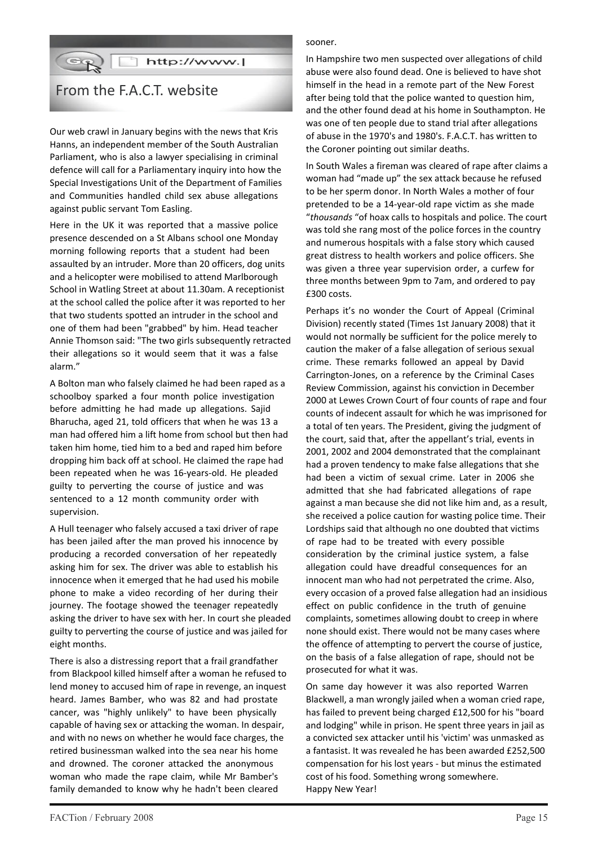### GR Thttp://www.l

### From the F.A.C.T. website

Our web crawl in January begins with the news that Kris Hanns, an independent member of the South Australian Parliament, who is also a lawyer specialising in criminal defence will call for a Parliamentary inquiry into how the Special Investigations Unit of the Department of Families and Communities handled child sex abuse allegations against public servant Tom Easling.

Here in the UK it was reported that a massive police presence descended on a St Albans school one Monday morning following reports that a student had been assaulted by an intruder. More than 20 officers, dog units and a helicopter were mobilised to attend Marlborough School in Watling Street at about 11.30am. A receptionist at the school called the police after it was reported to her that two students spotted an intruder in the school and one of them had been "grabbed" by him. Head teacher Annie Thomson said: "The two girls subsequently retracted their allegations so it would seem that it was a false alarm."

A Bolton man who falsely claimed he had been raped as a schoolboy sparked a four month police investigation before admitting he had made up allegations. Sajid Bharucha, aged 21, told officers that when he was 13 a man had offered him a lift home from school but then had taken him home, tied him to a bed and raped him before dropping him back off at school. He claimed the rape had been repeated when he was 16-years-old. He pleaded guilty to perverting the course of justice and was sentenced to a 12 month community order with supervision.

A Hull teenager who falsely accused a taxi driver of rape has been jailed after the man proved his innocence by producing a recorded conversation of her repeatedly asking him for sex. The driver was able to establish his innocence when it emerged that he had used his mobile phone to make a video recording of her during their journey. The footage showed the teenager repeatedly asking the driver to have sex with her. In court she pleaded guilty to perverting the course of justice and was jailed for eight months.

There is also a distressing report that a frail grandfather from Blackpool killed himself after a woman he refused to lend money to accused him of rape in revenge, an inquest heard. James Bamber, who was 82 and had prostate cancer, was "highly unlikely" to have been physically capable of having sex or attacking the woman. In despair, and with no news on whether he would face charges, the retired businessman walked into the sea near his home and drowned. The coroner attacked the anonymous woman who made the rape claim, while Mr Bamber's family demanded to know why he hadn't been cleared

#### sooner.

In Hampshire two men suspected over allegations of child abuse were also found dead. One is believed to have shot himself in the head in a remote part of the New Forest after being told that the police wanted to question him, and the other found dead at his home in Southampton. He was one of ten people due to stand trial after allegations of abuse in the 1970's and 1980's. F.A.C.T. has written to the Coroner pointing out similar deaths.

In South Wales a fireman was cleared of rape after claims a woman had "made up" the sex attack because he refused to be her sperm donor. In North Wales a mother of four pretended to be a 14-year-old rape victim as she made "*thousands* "of hoax calls to hospitals and police. The court was told she rang most of the police forces in the country and numerous hospitals with a false story which caused great distress to health workers and police officers. She was given a three year supervision order, a curfew for three months between 9pm to 7am, and ordered to pay £300 costs.

Perhaps it's no wonder the Court of Appeal (Criminal Division) recently stated (Times 1st January 2008) that it would not normally be sufficient for the police merely to caution the maker of a false allegation of serious sexual crime. These remarks followed an appeal by David Carrington-Jones, on a reference by the Criminal Cases Review Commission, against his conviction in December 2000 at Lewes Crown Court of four counts of rape and four counts of indecent assault for which he was imprisoned for a total of ten years. The President, giving the judgment of the court, said that, after the appellant's trial, events in 2001, 2002 and 2004 demonstrated that the complainant had a proven tendency to make false allegations that she had been a victim of sexual crime. Later in 2006 she admitted that she had fabricated allegations of rape against a man because she did not like him and, as a result, she received a police caution for wasting police time. Their Lordships said that although no one doubted that victims of rape had to be treated with every possible consideration by the criminal justice system, a false allegation could have dreadful consequences for an innocent man who had not perpetrated the crime. Also, every occasion of a proved false allegation had an insidious effect on public confidence in the truth of genuine complaints, sometimes allowing doubt to creep in where none should exist. There would not be many cases where the offence of attempting to pervert the course of justice, on the basis of a false allegation of rape, should not be prosecuted for what it was.

On same day however it was also reported Warren Blackwell, a man wrongly jailed when a woman cried rape, has failed to prevent being charged £12,500 for his "board and lodging" while in prison. He spent three years in jail as a convicted sex attacker until his 'victim' was unmasked as a fantasist. It was revealed he has been awarded £252,500 compensation for his lost years - but minus the estimated cost of his food. Something wrong somewhere. Happy New Year!